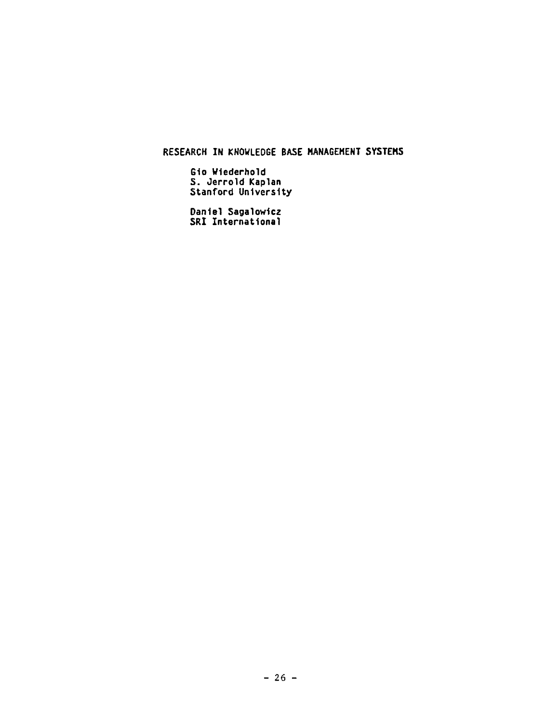RESEARCH IN KNOWLEDGE BASE NANAGEHENT S¥STEHS

Gio Wiederhold 5. Oerrold Kaplan Stanford University

Dante1Sagalowtcz SRI International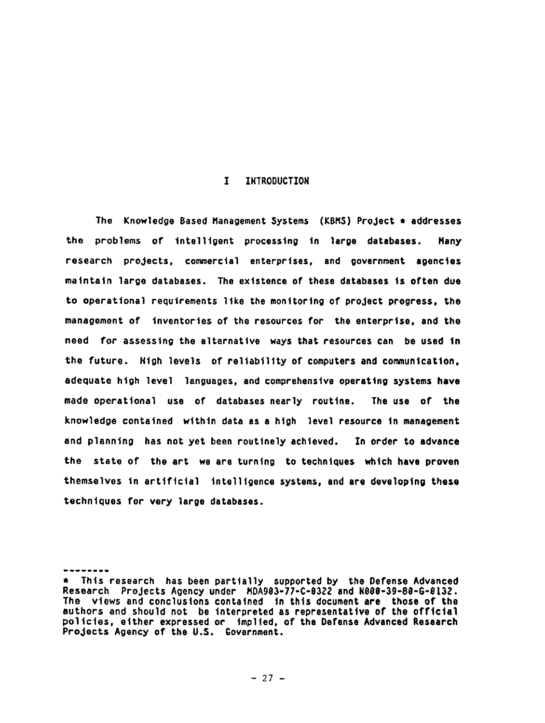### I INTRODUCTION

The Knowledge Based Management Systems (KBMS) ProJect • addresses the problems of Intelligent processing tn large databases. Hany research projects, commercial enterprises, and government agencies matntatn large databases. The existence of these databases ts often due to operational requirements 11ke the monitoring of project progress, the management of Inventories of the resources for the enterprise, and the need for *assessing* the alternative *ways* that resources can be used tn the future. Htgh levels of reliability of computers and communication, adequate htgh level languages, and comprehensive operating *systems* have made operational use of databases nearly routtne. The use of the knowledge contained wtthtn data as a htgh level resource tn management and planntng has not yet been routinely achieved. In order to advance the state of the art we are turning to techniques which have proven themselves tn artificial Intelligence systems, and are developing these techniques for very large databases.

**<sup>\*</sup>** Thls research has been partlally supported by the Defense Advanced Research Projects Agency under *MDAg83-77-C-8322* and N888-3g-8\$-G-8|32. The views and conclusions contained in this document are those of the authors and should not be interpreted as representative of the official policies, etther expressed or tmplled, of the Defense Advanced Research Projects Agency of the U.S. Government.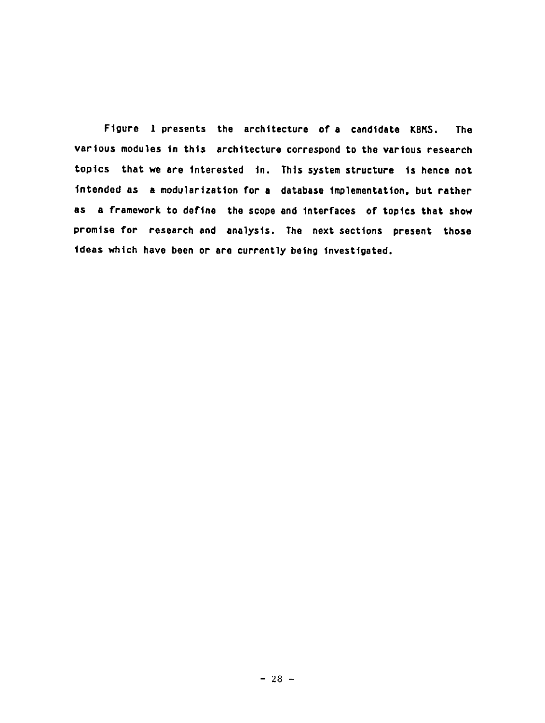Ftgure I presents the architecture of a candidate KBMS, The various modules in this architecture correspond to the various research topics that we are interested in. This system structure is hence not intended as a modularization for a database implementation, but rather as a framework to deftne the scope and Interfaces of toptcs that show promise for research and analysis. The next sections present those ideas which have been or are currently being investigated.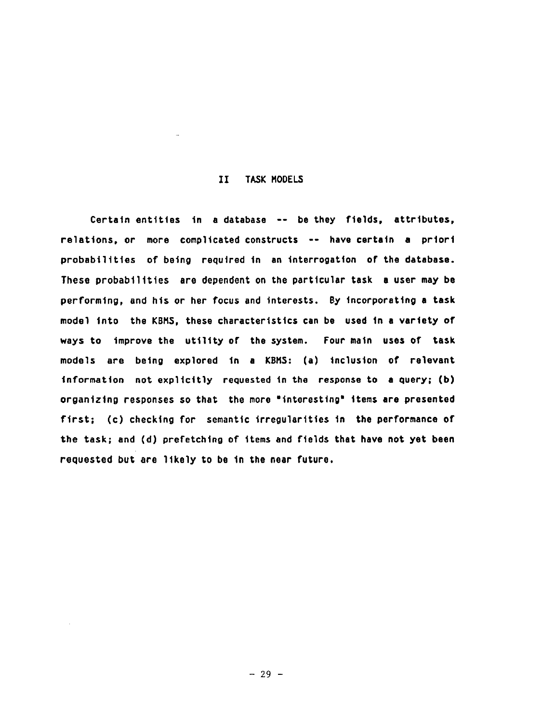### II TASK MODELS

Certain entities tn a database -- be they ftelds, attributes, relations, or more complicated constructs -- have certain a priori probabilities of being required in an Interrogation of the database. These probabilities are dependent on the particular task e user may be performing, and his or her focus and interests. By Incorporating a task model Into the KBMS, these characteristics can be used tn a variety of ways to improve the utility of the system. Four main uses of task models are being explored tn a KBM\$: (a) Inclusion of relevant Information not explicitly requested tn the response to a query; (b) organizing responses so that the more "interesting" items are presented first; (c) checking for semantic irregularities in the performance of the task; and (d) prefetching of items and fields that have not yet been requested but are likely to be in the near future.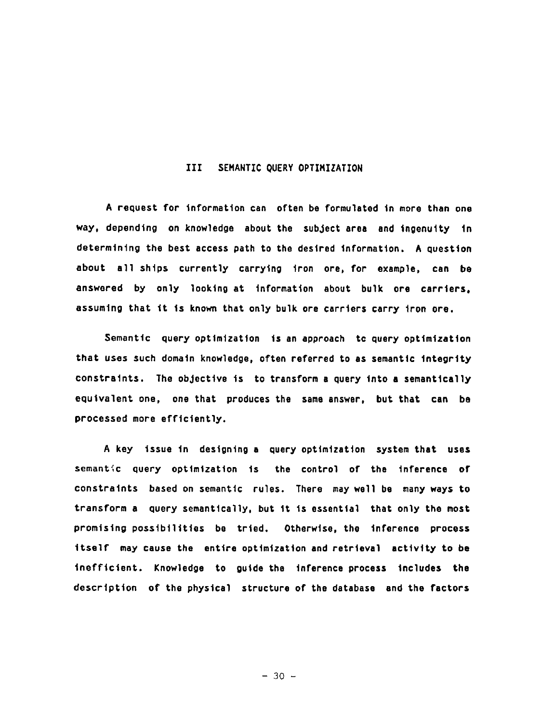### III SEMANTIC QUERY OPTIMIZATION

A request for Information can often be formulated tn more than one way, depending on knowledge about the subject area and ingenuity tn determining the best access path to the desired information. A question about all shtps currently carrytng iron ore, for example, can be answered by only looktng st information about bulk ore carriers, assuming that it is known that only bulk ore carriers carry iron ore.

Semanttc query optimization is an approach to query optimization that uses such domain knowledge, often referred to as semantic integrity constraints. The objective ts to transform a query into a semantically equivalent one, one that produces the same answer, but that can be processed more efficiently.

**<sup>A</sup>**key issue tn designing a query optimization system that uses semantic query optimization Is the control of the inference of constraints based on semanttc rules. There may well be many ways to transform a query semantically, but it is essential that only the most promising possibilities be tried. Otherwise, the Inference process itself may cause the entire optimization end retrieval activity to be inefficient. Knowledge to guide the inference process includes the description of the physical structure of the *database* and the factors

**- 30 -**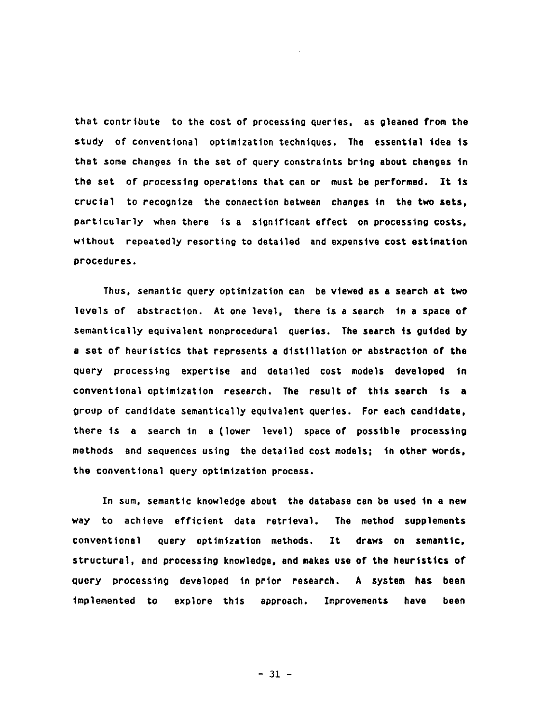that contribute to the cost of processing queries, as gleaned from the study of conventional optimization techniques. The essential idea is that some changes in the set of query constraints bring about changes tn the set of processing operations that can or must be performed. It ts crucial to recognize the connection between changes in the two sets, particularly when there Is a significant effect on processing costs, without repeatedly resorting to detailed and expensive cost estimation procedures.

Thus, semantic query optimization can be viewed as a search at two levels of abstraction. At one level, there is a search in a space of semantically equivalent nonprocedural queries. The search ts guided by a set of heuristics that represents a distillation or abstraction of the query processing expertise and detailed cost models developed tn conventional optimization research. The result of this search ts a group of candidate semantically equivalent queries. For each candidate, there ts a search tn a (lower level) space of possible processing methods and sequences using the detatled cost models; in other words, the conventional query optimization process.

In sum, semantic knowledge about the database can be used in a new way to achieve efficient data retrieval. The method supplements conventional query optimization methods. It draws on semantic, structural, and processing knowledge, and makes use of the heuristics of query processing developed in prior research. A system has been Implemented to explore thls approach. Improvements have been

**- 31 -**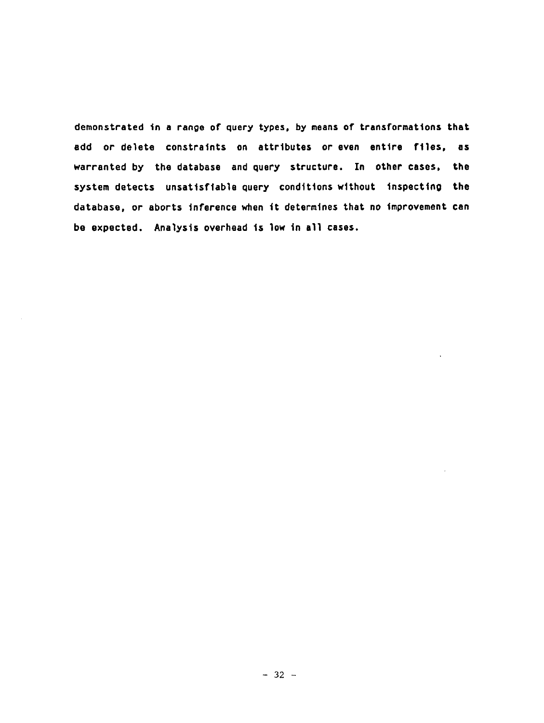demonstrated tn a range of query types, by means of transformations that add or delete constraints on attributes or even entire flles, as warranted by the database and query structure. In other cases, the system detects *unsattsftable* query conditions without Inspecting the database, or aborts Inference when tt determines that no Improvement can be expected. Analysts overhead ts low in all cases.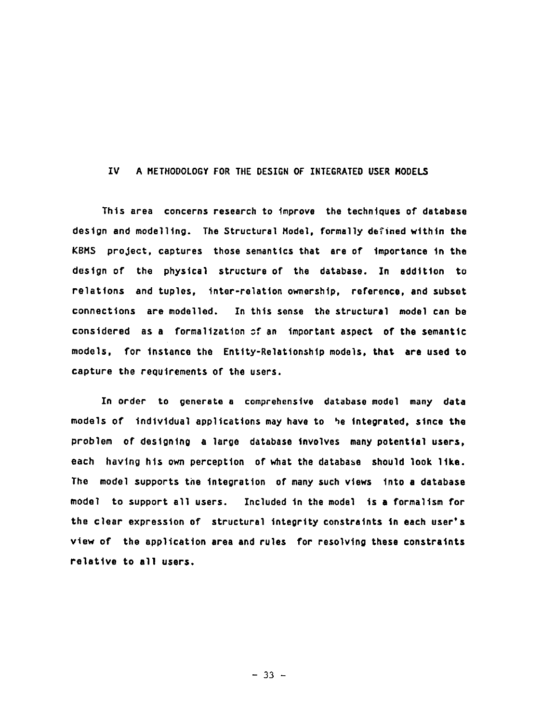### IV A METHODOLOGY FOR THE DESIGN OF INTEGRATED USER HODELS

Thts area concerns research to tmprove the techniques of database design and modelling. The Structural Model, formally defined within the KBMS project, captures those semantics that are of importance tn the destgn of the phystcal structure of the database. In addJtlon to relations and tuples, Inter-relation ovmershtp, reference, and subset connections are modelled. In thts sense the structural model can be considered as a formalization of an important aspect of the semantic models, for instance the Entity-Relationship models, that are used to capture the requirements of the users.

In order to generate a comprehensive database model many data models of Individual applications may have to he Integrated, since the problem of designing a large *database* tnvolves many potential users, each having hts own perception of what the database should look 11ke. The model supports the Integration of many such vtews Into a *database*  model to support all users. Included tn the model ts a formalism for the clear expression of structural Integrity constraints tn each user's view of the application area and rules for resolving these constraints relattve to all users.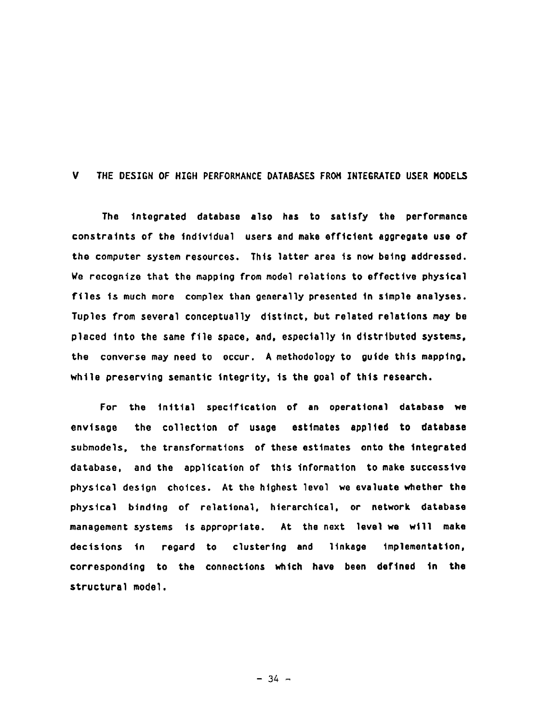### V THE DESIGN OF HIGH PERFORMANCE DATABASES FROM INTEGRATED USER MODELS

The Integrated database also has to sattsfy the performance constraints of the individual users and make efficient aggregate use of the computer system resources. This latter area is now being addressed. We recognize that the mapptng from model relations to effective phystcal ftles ts *much* more complex than generally presented tn simple analyses. Tuples from several conceptually distinct, but related relations may be placed tnto the same ftle space, and, especially tn distributed *systems,*  the converse may need to occur. A methodology to guide this mapping. while preserving semantic integrity, is the goal of this research.

For the initial specification of an operational database we envisage the collection of usage estimates applied to database submodels, the transformations of these estimates onto the Integrated database, and the application of thts Information to make successive phystcal destgn choices. At the htghest level we evaluate whether the phystcal btndtng of relational, hierarchical, or network database management systems ts appropriate. At the next level we wtll make decisions tn regard to *clustering* and ltnkage Implementation, corresponding to the *connections* whtch have been deftned tn the structure1 model.

**- 34 -**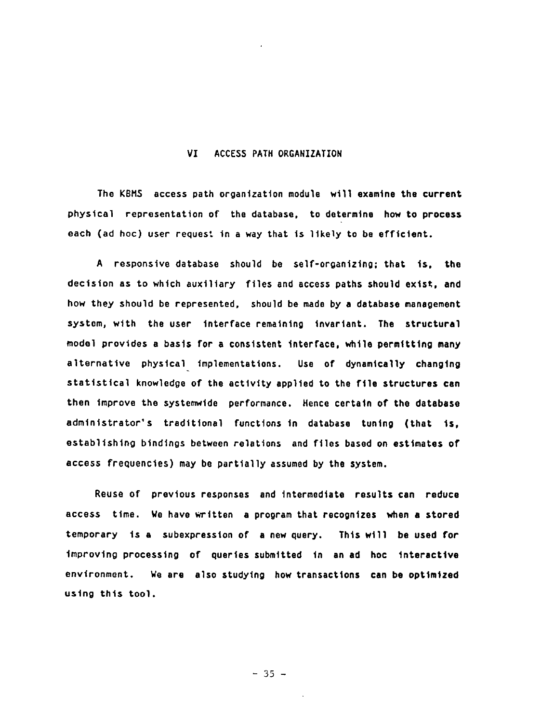### VI ACCESS PATH ORGANIZATION

The KBMS access path organization module will examine the current physical representation of the database, to determine how to process each (ad hoc) user request In a way that is 11kely to be efficient.

A responsive database should be self-organizing; that is, the dectston as to whtch auxiliary ftles and access paths should extst, and how they should be represented, should be made by a database management system, with the user Interface remaining tnvartant. The structural model provtdes a basts for a consistent Interface, whtle permitting many alternative physical Implementations. Use of dynamically changtng statistical knowledge of the activity applied to the file structures can then improve the systemwide performance. Hence certain of the database administrator's traditional functions In database tuntng (that **is,**  establishing bindings between relations and files based on estimates of access frequencies) may be partially assumed by the system.

Reuse of prevtous responses and Intermediate results can reduce access time. We have written a program that recognizes when a stored temporary ts a subexpresslon of a new query. Thts wtll be used for Improving processing of querles submitted tn an ad hoc Interactive environment. We are also studying how transactions can be optimized ustng thts tool.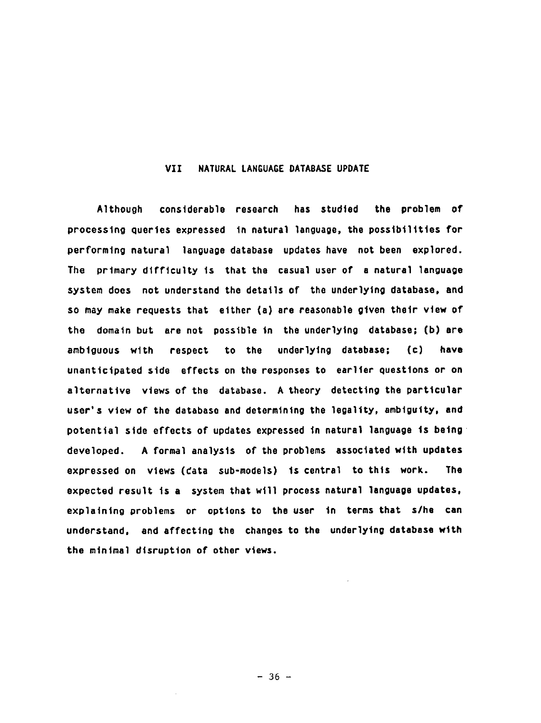### VII NATURAL LANGUAGE DATABASE UPDATE

Although considerable research has studted the problem of processing queries *expressed* tn natural language, the possibilities for performing natural language database updates have not been explored. The *prtmary* difficulty ts that the casual user of a *natural* language *system* does not understand the detatls or the underlying database, and so may make requests that elther (a) are reasonable gtven thetr vtew of the domain but are not possible in the underlying database; (b) are ambiguous wtth respect to the underlying database; (c) have unanticipated stde effects on the responses to earller questions or on alternative vtews of the database. A theory detecting the particular user's vtew of the database end determining the legality, ambiguity, and potential stde effects of updates expressed tn natural language ts being ~ developed. A forma] analysts of the problems associated wtth updates expressed on views (cata sub-models) is central to this work. The expected result ts a system that wtll process natural language updates, explaining problems or opttons to the user tn terms that *s/he* can understand, and affecting the changes to the underlying database with the minimal disruption of other views.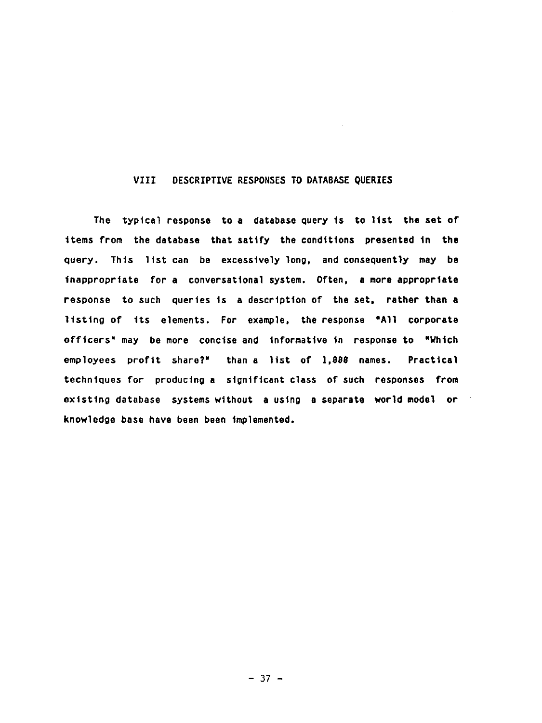### VIII DESCRIPTIVE RESPONSES TO DATABASE QUERIES

The typical response to a database query is to list the set of ttems from the database that sattfy the conditions presented tn the query. This ltst can be excessively long, and *consequently* may be Inappropriate for a conversational system. Often, a more appropriate response to such quertes ts a description of the set, rather than a listing of its elements. For example, the response "All corporate officers" may be *more* conctse and Informative tn response to "Whtch employees profit share?" than a list of 1,888 names. Practical techniques for producing a significant class of such responses from exlsttng database systems without a ustng *a separate* world model or knowledge base *have* been been Implemented.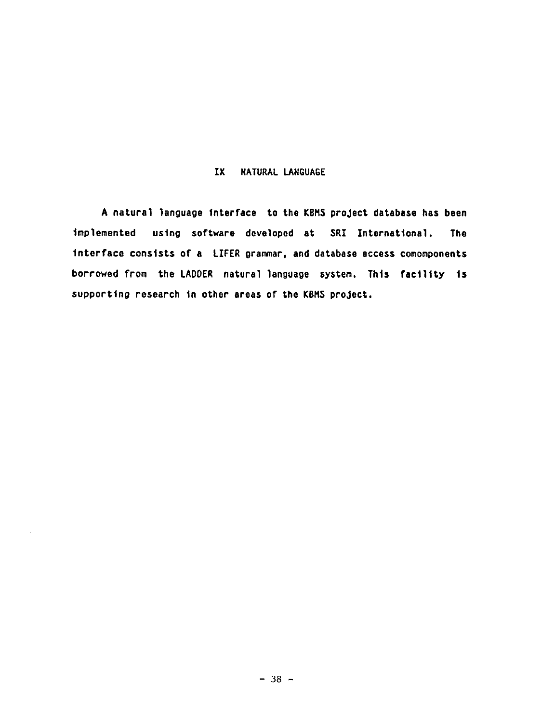## IX NATURAL LANGUAGE

**<sup>A</sup>**natural language Interface to the KBMS proJect database has been Implemented ustng software developed at SRI International. The Interface consists or a LIFER *gramar,* and *database* access comomponents borrowed from the LADDER natural language system. Thts faclllty ts supporting research in other areas of the KBMS project.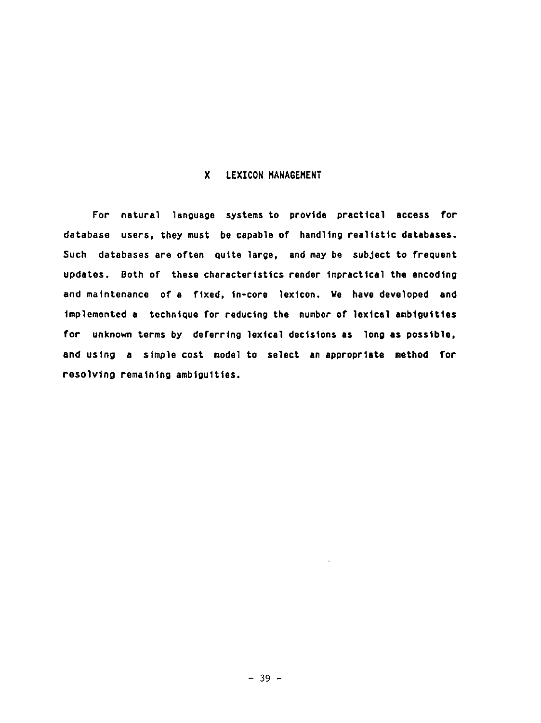### X LEXICON MANAGEMENT

For natural language systems to provide practical access for *database* users, they must be capable of handltng realistic databases. Such databases are often quite large, and may be subject to frequent updates. Both of these characteristics render impractical the encoding and maintenance of a fixed, 1n-core lextcon. We have developed and implemented a technique for reducing the number of lexical ambiguities for unknown terms by deferring lextcal decisions as long as possible, and ustng a stmple cost mode] to se]ect an appropriate method for resolving remaining ambiguities.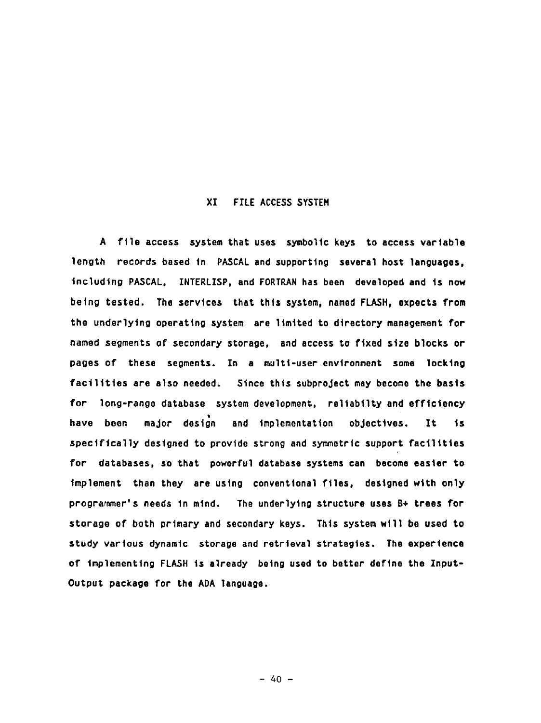## XI FILE ACCESS SYSTEM

**<sup>A</sup>**file access system that uses symbolic keys to access variable length records based in PASCAL and supporting several host *languages,*  Including PASCAL, INTERLISP, and FORTRAN has been developed and ts now being tested. The services that this system, named FLASH, expects from the underlying operating system are 11mtted to directory management for named segments of secondary storage, and access to fixed size blocks or pages of these segments. In a multi-user environment some locktng facilities *are* also needed. Since this subproject may become the basis for long-range database system development, reltabtlty and efficiency t have been major design and Implementation objectives. It ts specifically destgned to provtde strong and symmetric support facilities for databases, so that powerful database systems can become easier to Implement than they are using conventional ftles, designed wtth only *prograramer's* needs tn mind. The underlying structure uses B+ trees for storage of both *primary* and *secondary* keys. This system w111 be used to study various dynamic storage and *retrieval* strategies. The experience of implementing FLASH ts *already* being used to better define the Znput-Output package for the ADA language.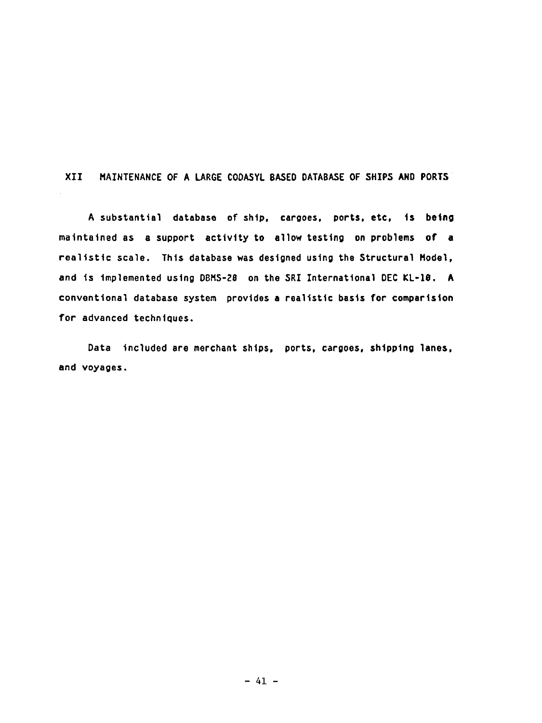XII MAINTENANCE OF A LARGE CODASYL BASED DATABASE OF SHIPS AND PORTS

A substantial database of shtp, cargoes, ports, etc, is being maintained as a support activity to allow testing on problems of a realistic scale. Thts database was designed using the Structural Model, and ts Implemented using DBMS-Z8 on the SRI International DEC KL-18. A conventional database system provtdes a realistic basis for compartston for advanced techniques.

Data tncluded *are* merchant shtps, ports, cargoes, shtpplng lanes, and voyages.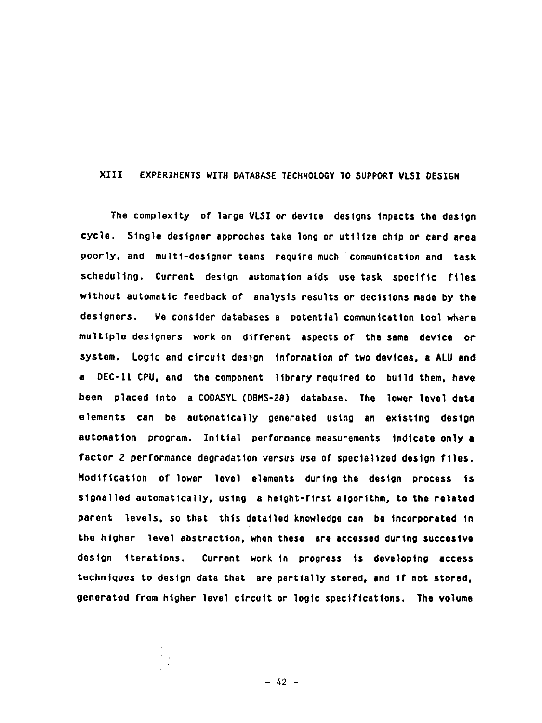# XIII EXPERIMENTS WITH DATABASE TECHNOLOGY TO SUPPORT VLSI DESIGN

The complexity of large VLSI or device designs impacts the design cycle. Single designer approches take long or utilize chtp or card area poorly, and multi-designer teams require much communication and task scheduling. Current design automation atds use task specific ftles without automatic feedback of analysis results or decisions made by the *designers.* We consider databases a potential communication tool where multtple designers work on different aspects of the same device or system. Logic and ctrcutt design information of two devices, a ALU and a DEC-ll CPU, and the component library required to build them, have been placed tnto a CODASYL (DBMS-28) database. The lower level data elements can be automatically generated using an existing design automation program. Initial performance measurements indicate only a factor 2 performance degradation versus use of specialized design ftles. Modification of lower level elements during the destgn process Is signalled automatically, using a height-first algorithm, to the related parent levels, so that thts detatled knowledge can be Incorporated tn the higher level abstraction, when these ere accessed during succestve design iterations. Current work In progress ts developing access techniques to design data that are partially stored, and if not stored, generated from higher level circuit or logtc specifications. The volume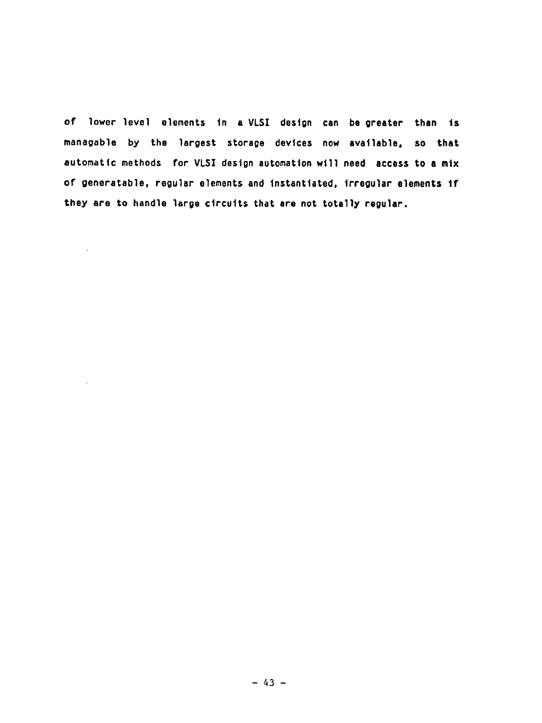of lower level elements tn a VLSI destgn can be greater than ts managable by the largest storage devices now available, so that automatic methods for VLSI design automation will need access to a mix of generatable, regular elements and lnstanttated, Jrregular elements If they are to handle large circuits that are not totally regular.

 $\mathcal{L}$ 

 $\sim$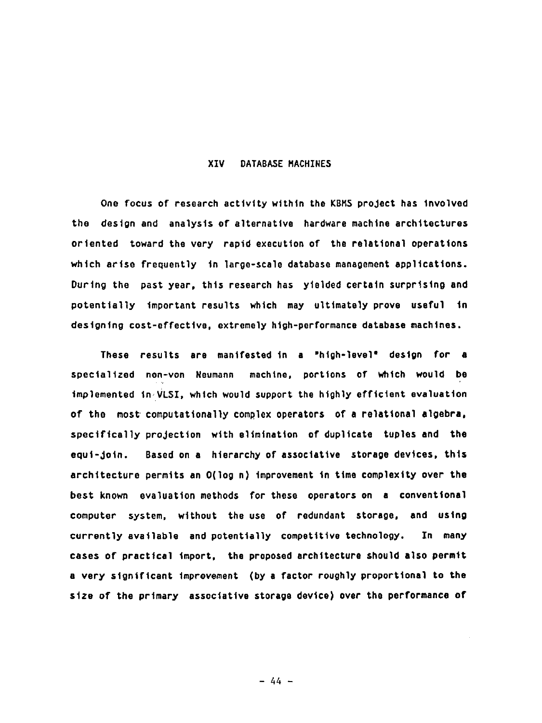### XIV DATABASE MACHINES

One focus of research activity within the KBMS project has involved the design and analysis of alternative hardware machine architectures ortented toward the very raptd execution of the relational operations which arise frequently In large-scale database management applications. Durtng the past year, thts research has yielded certain surprising and potentially Important results which may ultimately prove useful tn designing cost-effective, extremely high-performance database machines.

These results are manifested tn a "high-level" destgn for a specialized non-yon Neumann machine, porttons of which would be implemented tn VLSI, which would support the htghly efficient evaluation of the most computationally complex operators of a relational algebra, specifically projection wtth elimination of duplicate tuples and the equi-join. Based on a hierarchy of associative storage devices, this architecture permits an O(log n) improvement in time complexity over the best known evaluation methods for these operators on a conventional computer system, wtthout the use of redundant storage, and ustng currently available and potentially competitive technology. In many cases of practical tmport, the proposed architecture should also permtt a very significant Improvement (by a factor roughly proportional to the stze of the prtmary associative storage device) over the performance of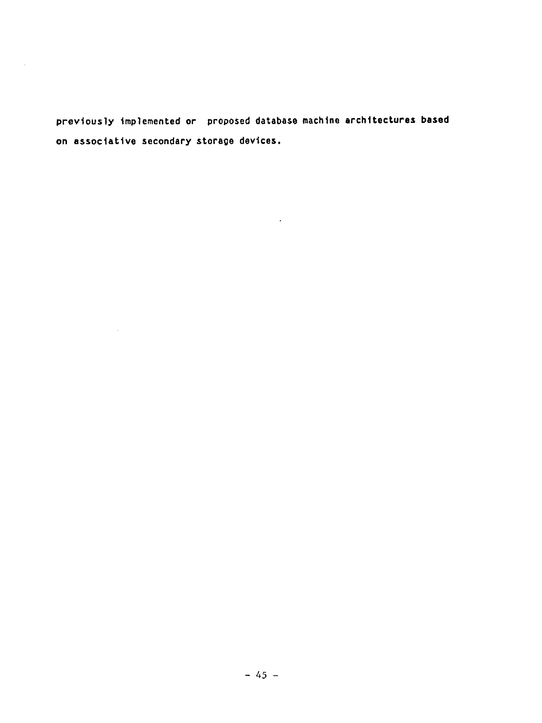previously Implemented or proposed database machtne architectures based on associative secondary storage devtces.

 $\sim 10^{11}$  km  $^{-1}$ 

 $\sim 10^{-1}$ 

 $\mathcal{L}^{\text{max}}_{\text{max}}$  and  $\mathcal{L}^{\text{max}}_{\text{max}}$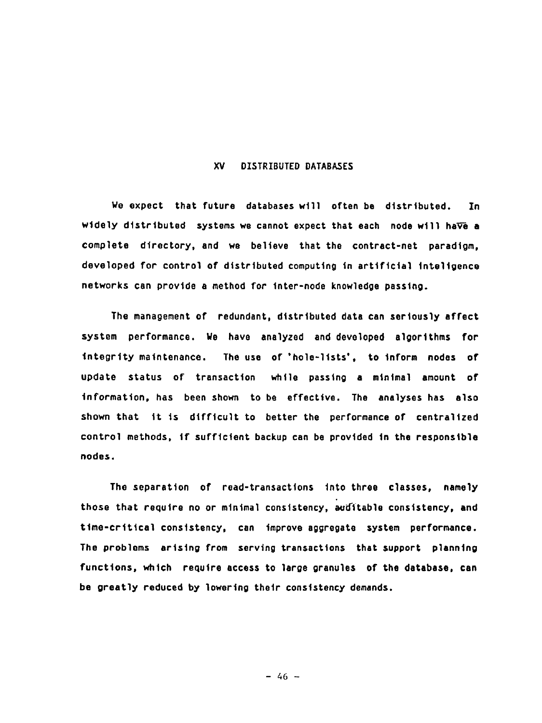#### XV DISTRIBUTED DATABASES

We expect that future databases will often be distributed. In widely distributed systems we cannot expect that each node will have a complete *directory,* and we belteve that the contract-net paradigm, developed for control of distributed computing in artificial inteligence networks can provtde a method for Inter-node knowledge passtng.

The management of redundant, distributed data can seriously affect system performance. We have analyzed and developed algorithms for Integrity maintenance. The use of 'hole-lists', to tnrorm nodes of update status of transaction while passing a minimal amount of Information, has been shown to be effective. The *analyses* has also shown that It ts difficult to better the performance of centralized control methods, If sufficient backup can be provtded tn the responsible nodes.

The separation of read-transactions tnto three classes, namely those that require no or minimal consistency, auditable consistency, and time-critical *consistency,* can improve aggregate system performance. The problems artstng from servtng transactions that support planntng functions, which require access to large granules of the database, can be greatly reduced by lowering thetr consistency demands.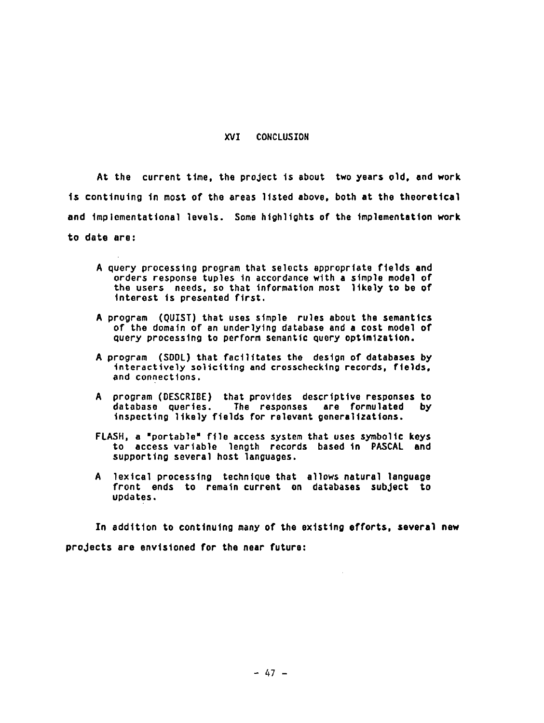#### XVI CONCLUSZON

At the current ttme, the project ts about two *years* old, and work ts continuing tn most of the areas 11sted above, both at the theoretical and tmpiomentattonal levels. *Some* highlights of the Implementation work to date are:

- A query processing program that selects appropriate fields and orders *response* tuples tn accordance with a stmple model of the users needs, so that Information most likely to be of tnterest ts presented first.
- A program (QUIST) that uses stmple rules about the semantics of the domatn of an underlying database and a cost model of query processing to perform semantic query optimization.
- A program (SDDL) that facilitates the destgn of databases by interactively soliciting and crosschecking records, fields, and connections.
- A program (DESCRIBE) that provtdes descriptive responses to database queries. The responses are formulated by Inspecting likely ftelds For relevant generalizations.
- FLASH, a "portable" File access system that uses symbollc keys to access variable length records based tn PASCAL and supporting several host languages.
- A lexical processing technique that allows natural language front ends to rematn current on databases subject to updates.

In addition to continuing many of the existing efforts, several new *projects* are envisioned for the near future: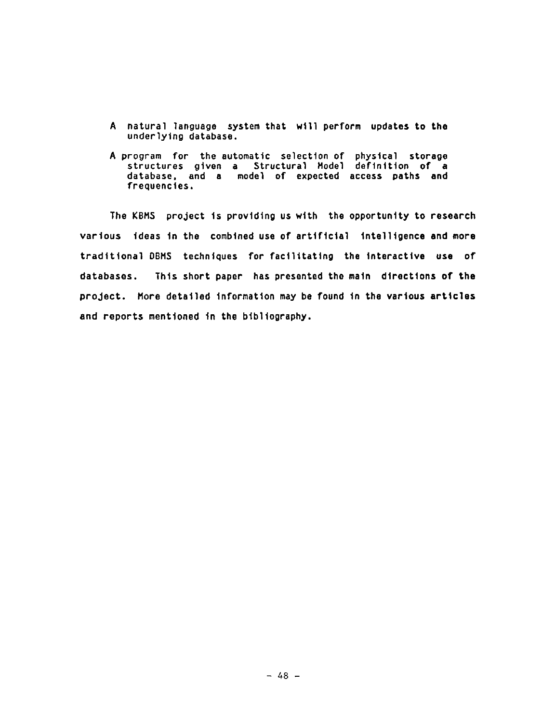- A natural language system that wtll perform updates to the underlying database.
- A program for the automatic selection of physical storage structures gtven a Structural Hodel definition of a database, and a model of expected access paths and frequencies.

The KBMS project is providing us with the opportunity to research various ideas in the combined use of artificial intelligence and more traditional DBMS techniques for facilitating the interactive use of databases. Thls short paper has presented the maln dlrectlons of the project. Hore detalled Informatlon may be found In the various artlcles and reports mentioned In the blbllography,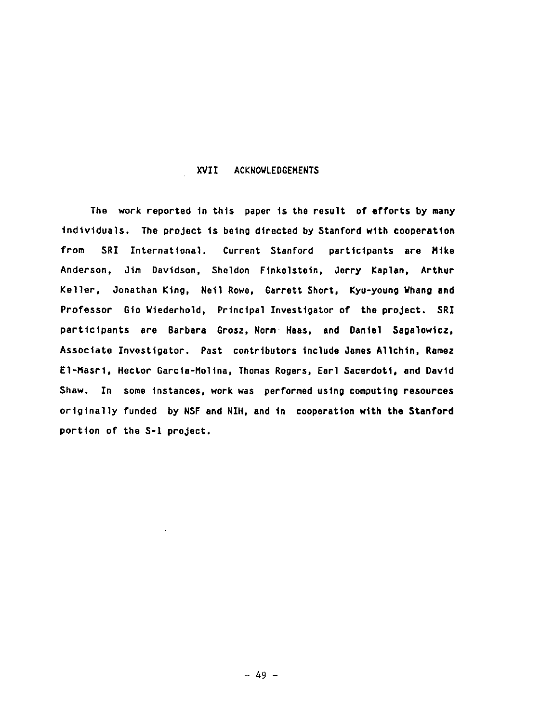## XVII ACKNOWLEDGEMENTS

The work reported in this paper ts the result of efforts by many Individuals. The project is being directed by Stanford with cooperation from SRI International. Current Stanford participants are Mike Anderson, Jim Davidson, Sheldon Finkelstein, Jerry Kaplan, Arthur Keller, Jonathan King, Neil Rowe, Garrett Short, Kyu-young Whang and Professor Gio Wiederhold, Principal Investigator of the project. SRI participants are Barbara Grosz, Norm Haas, and Dante1 Sagalowtcz, Associate Investigator. Past contributors lnc]ude James A11chtn, Ramez El-Masri, Hector Garcia-Molina, Thomas Rogers, Earl Sacerdoti, and David Shaw. In some instances, work was performed using computing resources originally funded by NSF and NIH, and in cooperation with the Stanford portion of the S-1 project.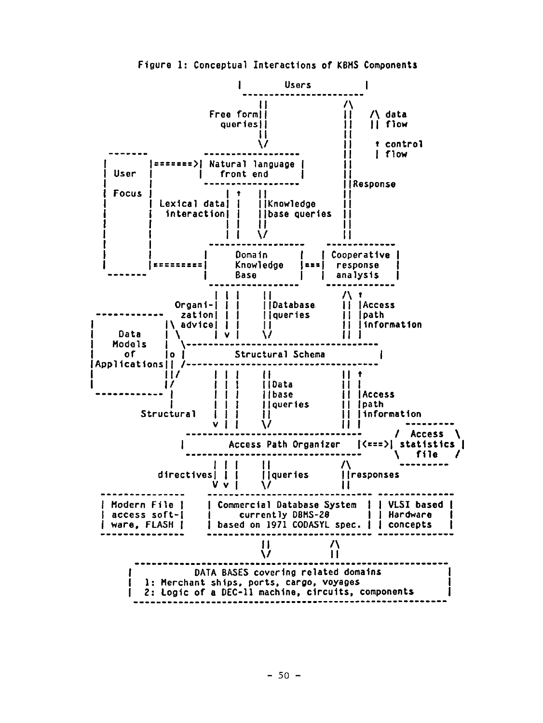

Figure 1: Conceptual Interactions of KBH5 Components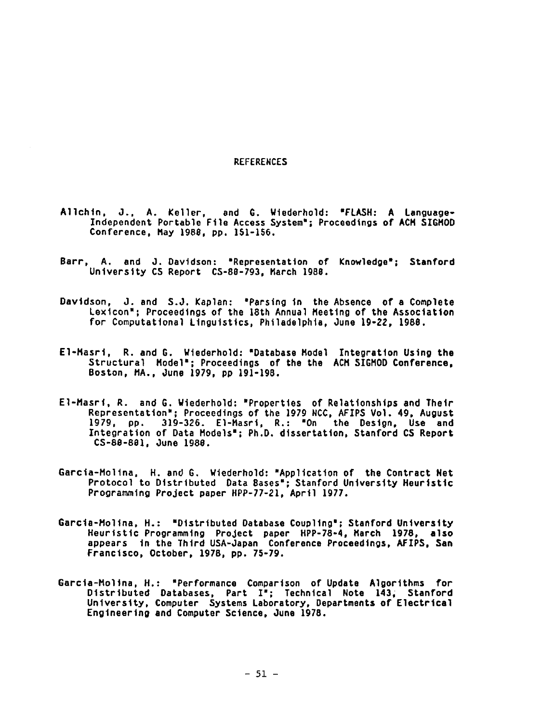#### **REFERENCES**

- A11chtn, O., A. Keller, and G. Wtederhold: "FLASH: A Language-Independent Portable Ftle Access System'; Proceedings or ACM SIGMOD Conference, May 1988, pp. 151-156.
- Barr, A. and O. DavJdson: "Representation of Knowledge'; Stanford University CS Report CS-88-793, March 1988.
- Davidson, J. and S.J. Kaplan: "Parsing in the Absence of a Complete Lexicon'; Proceedings of the 18th Annual Heettng or the Association for Computationa] Linguistics, Philadelphia, June lg-ZZ, 1988.
- El-Masrl, R. and G. WJederhold: "Database Hodel Integration Ustng the Structural Model<sup>\*</sup>; Proceedings of the the ACM SIGMOD Conference, Boston, HA., June 1979, pp 191-198.
- El-Masrt, R. and G. Wiederhold: "Properties of Relationships and Thetr Representation": Proceedings of the 1979 NCC, AFIPS Vol. 49, August 1979, pp. 3]g-326. El-Hasrt, R.: "On the Design, Use and Integration of Data Hodels'; Ph.D. *dissertation,* Stanford CS Report C5-88-881, June 1988.
- Garcia-Molina, H. and G. Wiederhold: "Application of the Contract Net Protocol to Distributed Data Bases"; Stanford University Heuristic Programming Project paper HPP-77-21, April 1977.
- Garcla-Hollna, H.: "D1strlbuted Database Coupllng'; Stanford Unlverslty Heurlstlc Programmlng ProJect paper HPP-78-4, March 1978, also appears in the Third USA-Japan Conference Proceedings, AFIPS, San Francisco, October, 1978, pp. 75-7g.
- Garcia-Molina, H.: "Performance Comparison of Update Algorithms for Distributed Databases, *Part* I'; Technical Note 143; Stanford University, Computer Systems Laboratory, Departments of Electrical Engineering and Computer Sctence, June 1978.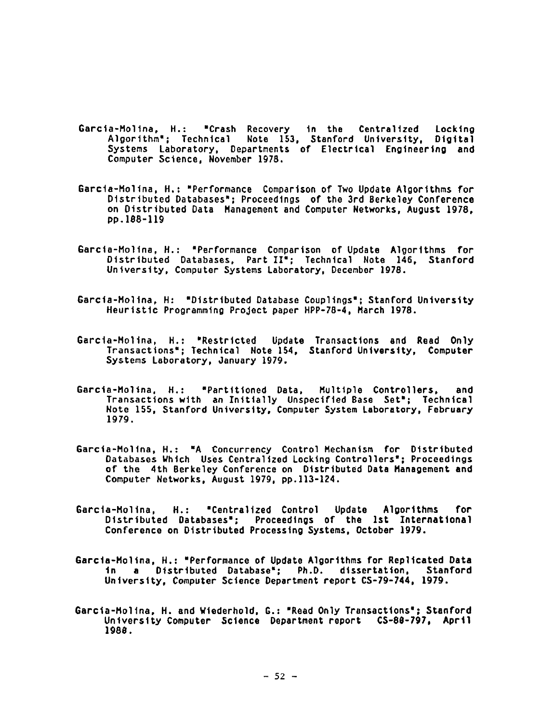- Garcta-Hollna, H.: "Crash Recovery tn the Centralized Locking Algortthm'; Technical Note 153, Stanford University, Dtgttal *Systems* Laboratory, Departments or Electrical Engineering and Computer Science, November lg78.
- Garcta-Hollna, H.: "Performance Comparison of Two Update Algorithms for Distributed Databases'; Proceedings of the 3rd Berkeley Conference on Distributed Data Hanagement and Computer Networks, August 1978, pp.188-119
- Garcta-Holtna, H.: "Performance Comparison of Update Algorithms for Distributed Databases, Part II"; Technical Note 146, Stanford University, Computer Systems Laboratory, December 1978.
- Garcta-Holtna, H: "Distributed Database Couplings'; Stanford University Heuristic Programming Project paper HPP-78-4, Harch ]978.
- Garcta-Holtna, H.: "Restricted Update Transactions and Read Only Transactions=; Technical Note 154, Stanford University, Computer Systems Laboratory, January 1979.
- Garcta-Moltna, H.: =Partitioned Data, Rulttple Controllers, and Transactions wtth an Inttta]ly Unspecified Base Set'; Technical Note 155, Stanford University, Computer System *Laboratory,* February 1979.
- Garcla-Hollna, H.: "A Concurrency Control Mechanism for D1strlbuted Databases Which Uses Centralized Locking Controllers=; Proceedings of the 4th Berkeley Conference on Distributed Data Hanagement and Computer Networks, August ]g7g, pp.]13-124.
- *Garcla-Hollna,* H.: "Centrallzed Control Update A1gorlthms for D1strlbuted Databases'; Proceedings of the Ist Internatlonal Conference on Distributed Processing Systems, October 1979.
- 6arcta-Holtna, H.: "Performance of Update Algorithms for Replicated Data In a Distributed *Database';* Ph.D. dissertation, Stanford University, Computer Science Department report CS-79-744, 1979.
- Garcta-Holtna, H. and Wtederhold, G.: "Read Only Transactions'; Stanford University Computer Science Department report CS-88-797, Aprtl 1988.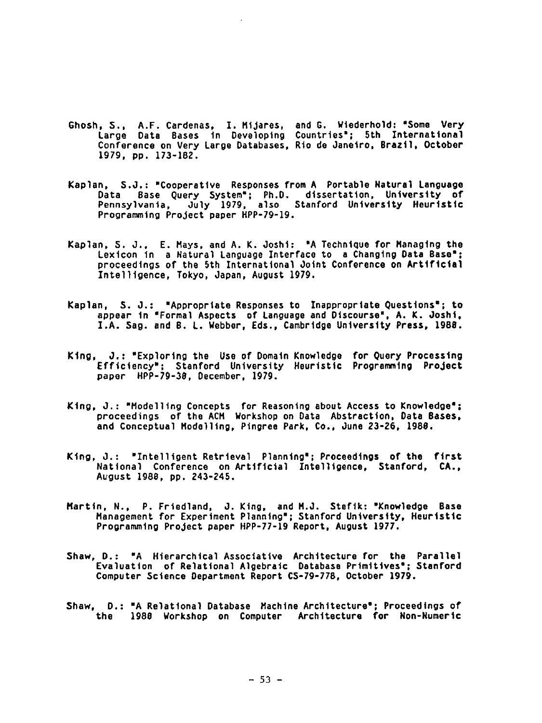- Ghosh, S., A.F. Cardenas, I. Htjares, and G. Wtederhold: "Some Very Large Data Bases tn Developing Countries'; 5th Znternattonal Conference on Very Large Databases, Rto de Janetro, Brazt1, October 1979, pp. 173-182.
- Kaplan, S.J.: "Cooperative Responses from A Portable Natural Language Data Base Query System'; Ph.D. dissertation, University of Pennsylvania, July 1979, also Stanford University Heuristic Programming Project paper HPP-79-19.
- Kaplan, S. O., E. Hays, and A. K. Josht: "A Technique for Hanagtng the Lexicon in a Natural Language Interface to a Changing Data Base"; proceedings of the 5th International Joint Conference on Artificial Znte111gence, Tokyo, Japan, August 1979.
- Kaplan, **S.J.:** "Appropriate Responses to Inappropriate Questions'; to appear In "Formal Aspects of Language and Discourse', A.K. Josh1, I.A. Sag. and B. L. Webber, Eds., Cambridge University Press, 1988.
- King, J.: "Exploring the Use of Domatn Knowledge for Query Processing Efficiency=; Stanford University Heuristic *Progranwatng* Project paper HPP-7g-38, December, lg7g.
- King, J.: "Modelling Concepts for Reasoning about Access to Knowledge"; proceedings of the ACH Workshop on Data Abstraction, Data Bases, and Conceptual Hodelltng, Ptngree Park, Co., June 23-26, 1988.
- Ktng, O.: "Zntelltgent Retrieval Planning"; Proceedings of the ftrst Nattonal Conference on Artificial Intelligence, Stanford, CA., August 1988, pp. 243-245.
- Harttn, N., P. Frledland, O. Ktng, and H.J. Steflk: "Knowledge Base Hanagement for Experiment Planning'; Stanford University, Heuristic Programming Project paper HPP-77-19 Report, August 1977.
- Shaw, D.: "A Hierarchical Associative Architecture for the Parallel Evaluation of Relational Algebraic *Database* PrtmltJves'; Stanford Computer Science Department Report CS-7g-778, October lg7g.
- Shaw. D.: "A Relational Database Machine Architecture": Proceedings of the ]g88 Workshop on Computer Archltecture for Non-Numerlc